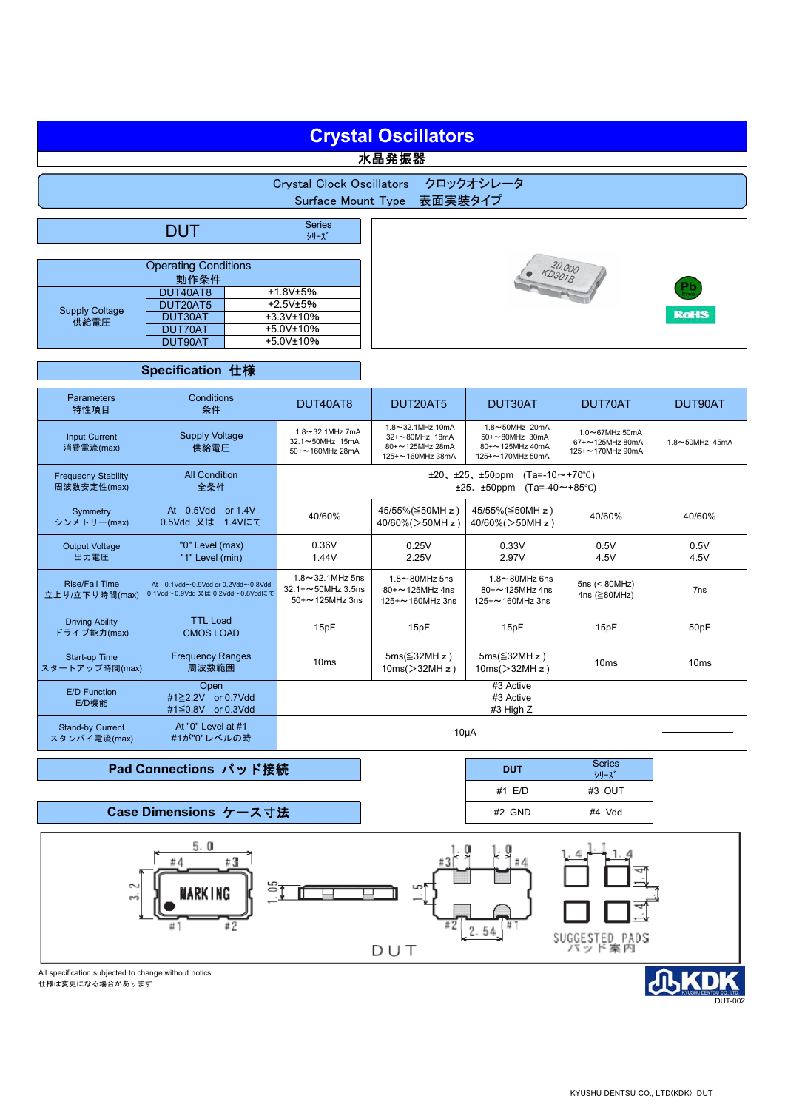# **Crystal Oscillators**

水晶発振器



|                               | DUT      | <b>Series</b><br>シリーズ |  |  |  |  |
|-------------------------------|----------|-----------------------|--|--|--|--|
|                               |          |                       |  |  |  |  |
| <b>Operating Conditions</b>   |          |                       |  |  |  |  |
| 動作条件                          |          |                       |  |  |  |  |
| <b>Supply Coltage</b><br>供給電圧 | DUT40AT8 | +1.8V±5%              |  |  |  |  |
|                               | DUT20AT5 | $+2.5V±5%$            |  |  |  |  |
|                               | DUT30AT  | $+3.3V$ ±10%          |  |  |  |  |
|                               | DUT70AT  | $+5.0V$ ±10%          |  |  |  |  |
|                               | DUT90AT  | $+5.0V$ ±10%          |  |  |  |  |



**DUT** Series

#1 E/D #3 OUT #2 GND #4 Vdd

シリーズ



## **Specification** 仕様

| <b>Parameters</b><br>特性項目                 | Conditions<br>条件                                                      | DUT40AT8                                                                                              | DUT20AT5                                                                  | DUT30AT                                                                  | DUT70AT                                               | DUT90AT           |
|-------------------------------------------|-----------------------------------------------------------------------|-------------------------------------------------------------------------------------------------------|---------------------------------------------------------------------------|--------------------------------------------------------------------------|-------------------------------------------------------|-------------------|
| <b>Input Current</b><br>消費電流(max)         | <b>Supply Voltage</b><br>供給電圧                                         | $1.8 - 32.1$ MHz 7mA<br>32.1~50MHz 15mA<br>50+~160MHz 28mA                                            | 1.8~32.1MHz 10mA<br>32+~80MHz 18mA<br>80+~125MHz 28mA<br>125+~160MHz 38mA | 1.8~50MHz 20mA<br>50+~80MHz 30mA<br>80+~125MHz 40mA<br>125+~170MHz 50mA  | 1.0~67MHz 50mA<br>67+~125MHz 80mA<br>125+~170MHz 90mA | 1.8~50MHz 45mA    |
| <b>Frequecny Stability</b><br>周波数安定性(max) | <b>All Condition</b><br>全条件                                           | $(Ta=-10 \sim +70^{\circ}C)$<br>$±20, ±25, ±50$ ppm<br>$(Ta=-40 \sim +85^{\circ}C)$<br>$±25, ±50$ ppm |                                                                           |                                                                          |                                                       |                   |
| Symmetry<br>シンメトリー(max)                   | At 0.5Vdd or 1.4V<br>0.5Vdd 又は 1.4Vにて                                 | 40/60%                                                                                                | 45/55%(≦50MH z)<br>$40/60\%$ ( $>50$ MH z)                                | 45/55%(≦50MH z)<br>$40/60\%$ ( $>50$ MH z)                               | 40/60%                                                | 40/60%            |
| <b>Output Voltage</b><br>出力電圧             | "0" Level (max)<br>"1" Level (min)                                    | 0.36V<br>1.44V                                                                                        | 0.25V<br>2.25V                                                            | 0.33V<br>2.97V                                                           | 0.5V<br>4.5V                                          | 0.5V<br>4.5V      |
| <b>Rise/Fall Time</b><br>立上り/立下り時間(max)   | At 0.1Vdd~0.9Vdd or 0.2Vdd~0.8Vdd<br>0.1Vdd~0.9Vdd 又は 0.2Vdd~0.8Vddにて | $1.8 \sim 32.1$ MHz 5ns<br>32.1+~50MHz 3.5ns<br>$50 + \sim 125$ MHz 3ns                               | $1.8 \sim 80$ MHz 5ns<br>$80 + \sim 125$ MHz 4ns<br>$125 + 160$ MHz 3ns   | $1.8 \sim 80$ MHz 6ns<br>$80 + \sim 125$ MHz 4ns<br>$125 + 2160$ MHz 3ns | $5ns \leq 80MHz$<br>4ns ( $\geq$ 80MHz)               | 7 <sub>ns</sub>   |
| <b>Driving Ability</b><br>ドライブ能力(max)     | <b>TTL Load</b><br><b>CMOS LOAD</b>                                   | 15pF                                                                                                  | 15pF                                                                      | 15pF                                                                     | 15pF                                                  | 50 <sub>p</sub> F |
| Start-up Time<br>スタートアップ時間(max)           | <b>Frequency Ranges</b><br>周波数範囲                                      | 10 <sub>ms</sub>                                                                                      | $5ms(\leq 32MH z)$<br>$10ms$ $>$ 32MH z)                                  | $5ms(\leq 32MHz)$<br>$10ms$ $>32MHz$ )                                   | 10ms                                                  | 10ms              |
| E/D Function<br>E/D機能                     | Open<br>#1≥2.2V or 0.7Vdd<br>#1≦0.8V or 0.3Vdd                        | #3 Active<br>#3 Active<br>#3 High Z                                                                   |                                                                           |                                                                          |                                                       |                   |
| <b>Stand-by Current</b><br>スタンバイ電流(max)   | At "0" Level at #1<br>#1が"0"レベルの時                                     | $10\mu A$                                                                                             |                                                                           |                                                                          |                                                       |                   |

### **Pad Connections** パッド接続

**Case Dimensions** ケース寸法



All specification subjected to change without notics. 仕様は変更になる場合があります

d DUT-002